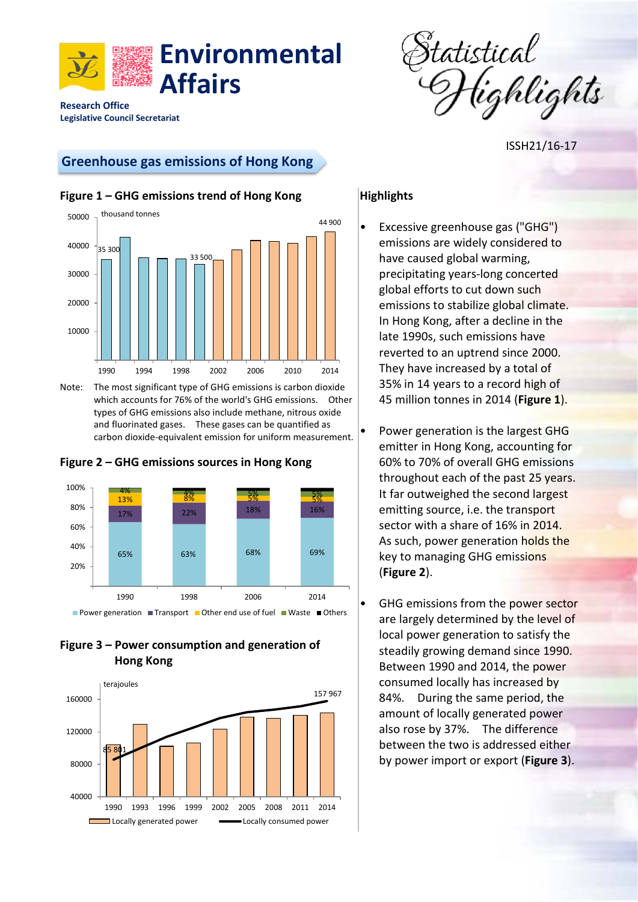



ISSH21/16-17

# **Greenhouse gas emissions of Hong Kong**



**Legislative Council Secretariat**



Note: The most significant type of GHG emissions is carbon dioxide which accounts for 76% of the world's GHG emissions. Other types of GHG emissions also include methane, nitrous oxide and fluorinated gases. These gases can be quantified as carbon dioxide-equivalent emission for uniform measurement.



### **Figure 2 – GHG emissions sources in Hong Kong**

### **Figure 3 – Power consumption and generation of Hong Kong**



# **Highlights**

- Excessive greenhouse gas ("GHG") emissions are widely considered to have caused global warming, precipitating years-long concerted global efforts to cut down such emissions to stabilize global climate. In Hong Kong, after a decline in the late 1990s, such emissions have reverted to an uptrend since 2000. They have increased by a total of 35% in 14 years to a record high of 45 million tonnes in 2014 (**Figure 1**).
	- Power generation is the largest GHG emitter in Hong Kong, accounting for 60% to 70% of overall GHG emissions throughout each of the past 25 years. It far outweighed the second largest emitting source, i.e. the transport sector with a share of 16% in 2014. As such, power generation holds the key to managing GHG emissions (**Figure 2**).
- GHG emissions from the power sector are largely determined by the level of local power generation to satisfy the steadily growing demand since 1990. Between 1990 and 2014, the power consumed locally has increased by 84%. During the same period, the amount of locally generated power also rose by 37%. The difference between the two is addressed either by power import or export (**Figure 3**).